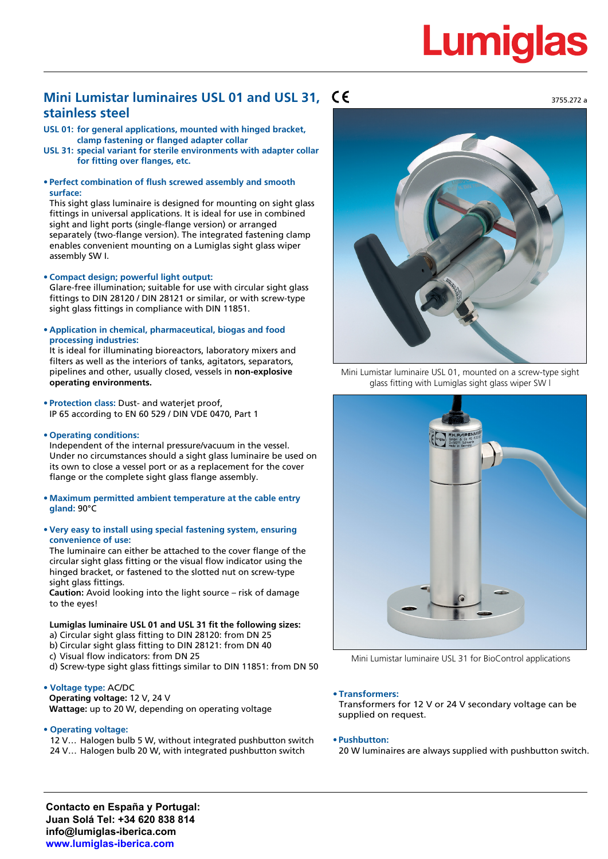# Lumiqla

# **Mini Lumistar luminaires USL 01 and USL 31, stainless steel**

- **USL 01: for general applications, mounted with hinged bracket, clamp fastening or flanged adapter collar**
- **USL 31: special variant for sterile environments with adapter collar for fitting over flanges, etc.**
- **• Perfect combination of flush screwed assembly and smooth surface:**

This sight glass luminaire is designed for mounting on sight glass fittings in universal applications. It is ideal for use in combined sight and light ports (single-flange version) or arranged separately (two-flange version). The integrated fastening clamp enables convenient mounting on a Lumiglas sight glass wiper assembly SW I.

**• Compact design; powerful light output:**

Glare-free illumination; suitable for use with circular sight glass fittings to DIN 28120 / DIN 28121 or similar, or with screw-type sight glass fittings in compliance with DIN 11851.

**• Application in chemical, pharmaceutical, biogas and food processing industries:**

It is ideal for illuminating bioreactors, laboratory mixers and filters as well as the interiors of tanks, agitators, separators, pipelines and other, usually closed, vessels in **non-explosive operating environments.**

- **• Protection class:** Dust- and waterjet proof, IP 65 according to EN 60 529 / DIN VDE 0470, Part 1
- **• Operating conditions:**

Independent of the internal pressure/vacuum in the vessel. Under no circumstances should a sight glass luminaire be used on its own to close a vessel port or as a replacement for the cover flange or the complete sight glass flange assembly.

- **• Maximum permitted ambient temperature at the cable entry gland:** 90°C
- **• Very easy to install using special fastening system, ensuring convenience of use:**

The luminaire can either be attached to the cover flange of the circular sight glass fitting or the visual flow indicator using the hinged bracket, or fastened to the slotted nut on screw-type sight glass fittings.

**Caution:** Avoid looking into the light source – risk of damage to the eyes!

**Lumiglas luminaire USL 01 and USL 31 fit the following sizes:** a) Circular sight glass fitting to DIN 28120: from DN 25 b) Circular sight glass fitting to DIN 28121: from DN 40 c) Visual flow indicators: from DN 25 d) Screw-type sight glass fittings similar to DIN 11851: from DN 50

# **• Voltage type:** AC/DC

**Operating voltage:** 12 V, 24 V **Wattage:** up to 20 W, depending on operating voltage

**• Operating voltage:**

12 V… Halogen bulb 5 W, without integrated pushbutton switch 24 V… Halogen bulb 20 W, with integrated pushbutton switch



Mini Lumistar luminaire USL 01, mounted on a screw-type sight glass fitting with Lumiglas sight glass wiper SW l



Mini Lumistar luminaire USL 31 for BioControl applications

# **• Transformers:**

Transformers for 12 V or 24 V secondary voltage can be supplied on request.

#### **• Pushbutton:**

20 W luminaires are always supplied with pushbutton switch.

**Contacto en España y Portugal: Juan Solá Tel: +34 620 838 814 info@lumiglas-iberica.com www.lumiglas-iberica.com**

3755.272 a